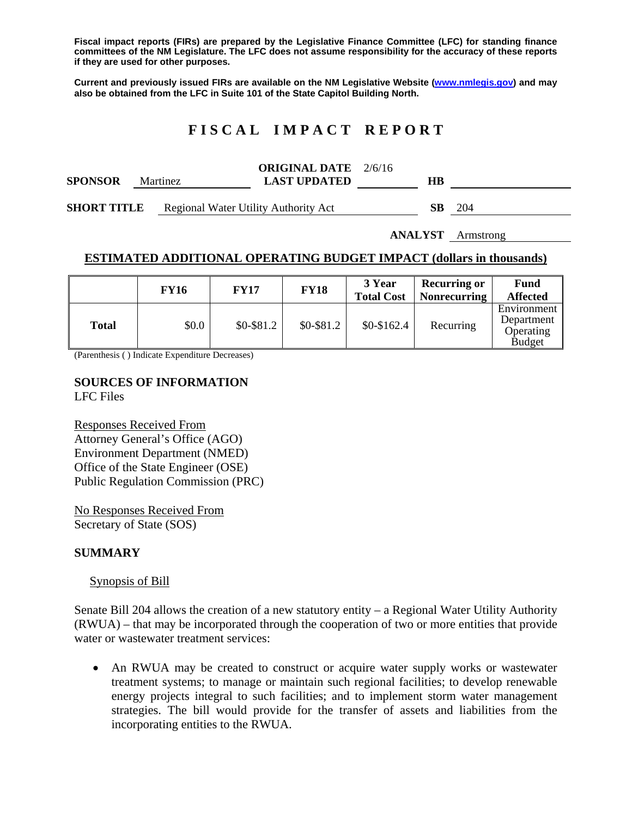**Fiscal impact reports (FIRs) are prepared by the Legislative Finance Committee (LFC) for standing finance committees of the NM Legislature. The LFC does not assume responsibility for the accuracy of these reports if they are used for other purposes.** 

**Current and previously issued FIRs are available on the NM Legislative Website (www.nmlegis.gov) and may also be obtained from the LFC in Suite 101 of the State Capitol Building North.** 

# **F I S C A L I M P A C T R E P O R T**

| <b>SPONSOR</b>     | <b>Martinez</b> |  | <b>ORIGINAL DATE</b> 2/6/16<br><b>LAST UPDATED</b> | HВ |     |
|--------------------|-----------------|--|----------------------------------------------------|----|-----|
| <b>SHORT TITLE</b> |                 |  | <b>Regional Water Utility Authority Act</b>        | SВ | 204 |

**ANALYST** Armstrong

## **ESTIMATED ADDITIONAL OPERATING BUDGET IMPACT (dollars in thousands)**

|              | FY16  | <b>FY17</b> | <b>FY18</b> | 3 Year<br><b>Total Cost</b> | <b>Recurring or</b><br><b>Nonrecurring</b> | <b>Fund</b><br><b>Affected</b>                                      |
|--------------|-------|-------------|-------------|-----------------------------|--------------------------------------------|---------------------------------------------------------------------|
| <b>Total</b> | \$0.0 | $$0-$81.2$  | $$0-$81.2$  | $$0-$162.4$                 | Recurring                                  | Environment<br>Department $\parallel$<br>Operating<br><b>Budget</b> |

(Parenthesis ( ) Indicate Expenditure Decreases)

### **SOURCES OF INFORMATION**  LFC Files

Responses Received From Attorney General's Office (AGO) Environment Department (NMED) Office of the State Engineer (OSE) Public Regulation Commission (PRC)

No Responses Received From Secretary of State (SOS)

## **SUMMARY**

### Synopsis of Bill

Senate Bill 204 allows the creation of a new statutory entity – a Regional Water Utility Authority (RWUA) – that may be incorporated through the cooperation of two or more entities that provide water or wastewater treatment services:

 An RWUA may be created to construct or acquire water supply works or wastewater treatment systems; to manage or maintain such regional facilities; to develop renewable energy projects integral to such facilities; and to implement storm water management strategies. The bill would provide for the transfer of assets and liabilities from the incorporating entities to the RWUA.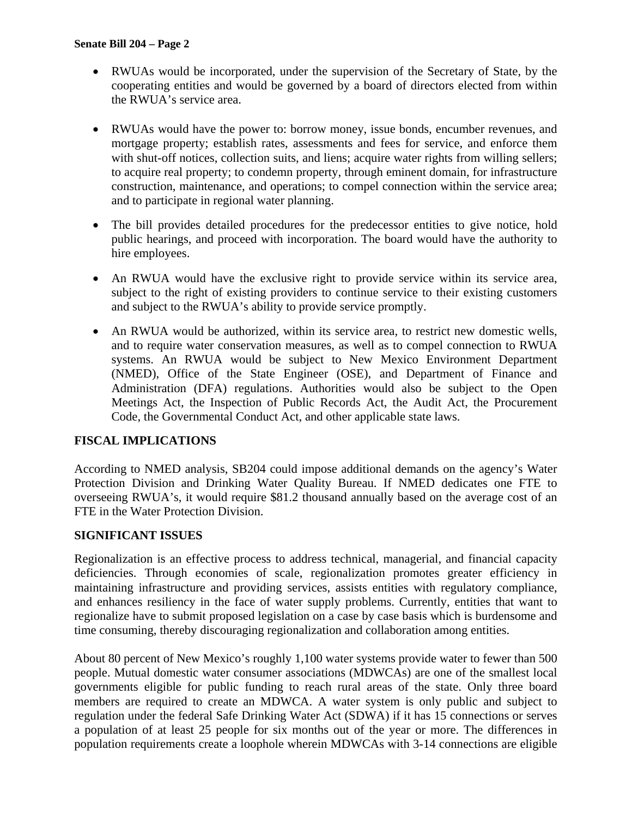- RWUAs would be incorporated, under the supervision of the Secretary of State, by the cooperating entities and would be governed by a board of directors elected from within the RWUA's service area.
- RWUAs would have the power to: borrow money, issue bonds, encumber revenues, and mortgage property; establish rates, assessments and fees for service, and enforce them with shut-off notices, collection suits, and liens; acquire water rights from willing sellers; to acquire real property; to condemn property, through eminent domain, for infrastructure construction, maintenance, and operations; to compel connection within the service area; and to participate in regional water planning.
- The bill provides detailed procedures for the predecessor entities to give notice, hold public hearings, and proceed with incorporation. The board would have the authority to hire employees.
- An RWUA would have the exclusive right to provide service within its service area, subject to the right of existing providers to continue service to their existing customers and subject to the RWUA's ability to provide service promptly.
- An RWUA would be authorized, within its service area, to restrict new domestic wells, and to require water conservation measures, as well as to compel connection to RWUA systems. An RWUA would be subject to New Mexico Environment Department (NMED), Office of the State Engineer (OSE), and Department of Finance and Administration (DFA) regulations. Authorities would also be subject to the Open Meetings Act, the Inspection of Public Records Act, the Audit Act, the Procurement Code, the Governmental Conduct Act, and other applicable state laws.

# **FISCAL IMPLICATIONS**

According to NMED analysis, SB204 could impose additional demands on the agency's Water Protection Division and Drinking Water Quality Bureau. If NMED dedicates one FTE to overseeing RWUA's, it would require \$81.2 thousand annually based on the average cost of an FTE in the Water Protection Division.

## **SIGNIFICANT ISSUES**

Regionalization is an effective process to address technical, managerial, and financial capacity deficiencies. Through economies of scale, regionalization promotes greater efficiency in maintaining infrastructure and providing services, assists entities with regulatory compliance, and enhances resiliency in the face of water supply problems. Currently, entities that want to regionalize have to submit proposed legislation on a case by case basis which is burdensome and time consuming, thereby discouraging regionalization and collaboration among entities.

About 80 percent of New Mexico's roughly 1,100 water systems provide water to fewer than 500 people. Mutual domestic water consumer associations (MDWCAs) are one of the smallest local governments eligible for public funding to reach rural areas of the state. Only three board members are required to create an MDWCA. A water system is only public and subject to regulation under the federal Safe Drinking Water Act (SDWA) if it has 15 connections or serves a population of at least 25 people for six months out of the year or more. The differences in population requirements create a loophole wherein MDWCAs with 3-14 connections are eligible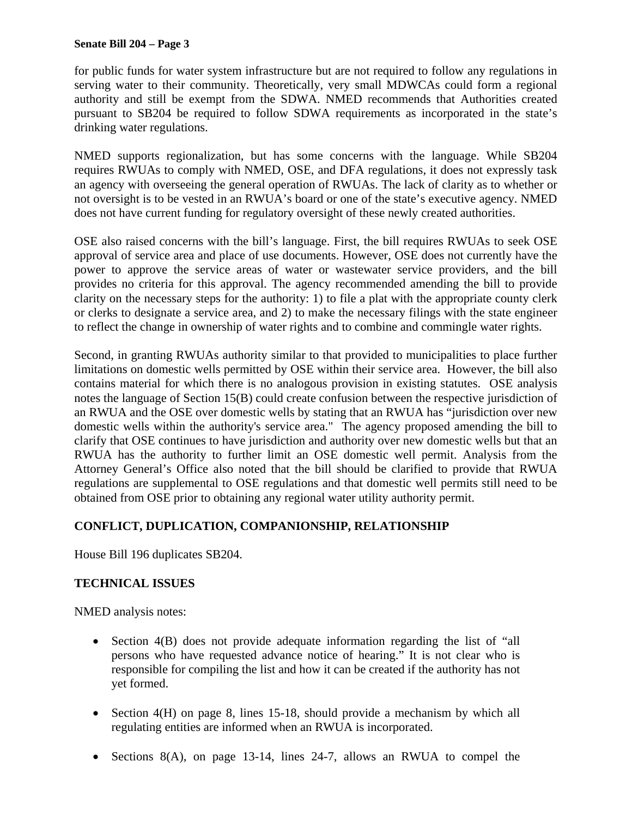## **Senate Bill 204 – Page 3**

for public funds for water system infrastructure but are not required to follow any regulations in serving water to their community. Theoretically, very small MDWCAs could form a regional authority and still be exempt from the SDWA. NMED recommends that Authorities created pursuant to SB204 be required to follow SDWA requirements as incorporated in the state's drinking water regulations.

NMED supports regionalization, but has some concerns with the language. While SB204 requires RWUAs to comply with NMED, OSE, and DFA regulations, it does not expressly task an agency with overseeing the general operation of RWUAs. The lack of clarity as to whether or not oversight is to be vested in an RWUA's board or one of the state's executive agency. NMED does not have current funding for regulatory oversight of these newly created authorities.

OSE also raised concerns with the bill's language. First, the bill requires RWUAs to seek OSE approval of service area and place of use documents. However, OSE does not currently have the power to approve the service areas of water or wastewater service providers, and the bill provides no criteria for this approval. The agency recommended amending the bill to provide clarity on the necessary steps for the authority: 1) to file a plat with the appropriate county clerk or clerks to designate a service area, and 2) to make the necessary filings with the state engineer to reflect the change in ownership of water rights and to combine and commingle water rights.

Second, in granting RWUAs authority similar to that provided to municipalities to place further limitations on domestic wells permitted by OSE within their service area. However, the bill also contains material for which there is no analogous provision in existing statutes. OSE analysis notes the language of Section 15(B) could create confusion between the respective jurisdiction of an RWUA and the OSE over domestic wells by stating that an RWUA has "jurisdiction over new domestic wells within the authority's service area." The agency proposed amending the bill to clarify that OSE continues to have jurisdiction and authority over new domestic wells but that an RWUA has the authority to further limit an OSE domestic well permit. Analysis from the Attorney General's Office also noted that the bill should be clarified to provide that RWUA regulations are supplemental to OSE regulations and that domestic well permits still need to be obtained from OSE prior to obtaining any regional water utility authority permit.

# **CONFLICT, DUPLICATION, COMPANIONSHIP, RELATIONSHIP**

House Bill 196 duplicates SB204.

# **TECHNICAL ISSUES**

NMED analysis notes:

- Section 4(B) does not provide adequate information regarding the list of "all persons who have requested advance notice of hearing." It is not clear who is responsible for compiling the list and how it can be created if the authority has not yet formed.
- $\bullet$  Section 4(H) on page 8, lines 15-18, should provide a mechanism by which all regulating entities are informed when an RWUA is incorporated.
- Sections  $8(A)$ , on page 13-14, lines 24-7, allows an RWUA to compel the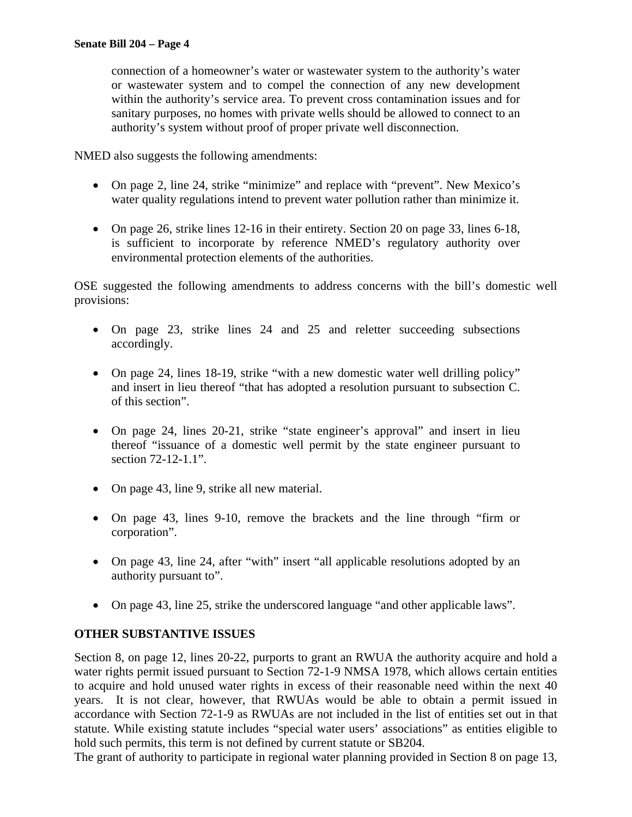connection of a homeowner's water or wastewater system to the authority's water or wastewater system and to compel the connection of any new development within the authority's service area. To prevent cross contamination issues and for sanitary purposes, no homes with private wells should be allowed to connect to an authority's system without proof of proper private well disconnection.

NMED also suggests the following amendments:

- On page 2, line 24, strike "minimize" and replace with "prevent". New Mexico's water quality regulations intend to prevent water pollution rather than minimize it.
- On page 26, strike lines 12-16 in their entirety. Section 20 on page 33, lines 6-18, is sufficient to incorporate by reference NMED's regulatory authority over environmental protection elements of the authorities.

OSE suggested the following amendments to address concerns with the bill's domestic well provisions:

- On page 23, strike lines 24 and 25 and reletter succeeding subsections accordingly.
- On page 24, lines 18-19, strike "with a new domestic water well drilling policy" and insert in lieu thereof "that has adopted a resolution pursuant to subsection C. of this section".
- On page 24, lines 20-21, strike "state engineer's approval" and insert in lieu thereof "issuance of a domestic well permit by the state engineer pursuant to section 72-12-1.1".
- On page 43, line 9, strike all new material.
- On page 43, lines 9-10, remove the brackets and the line through "firm or corporation".
- On page 43, line 24, after "with" insert "all applicable resolutions adopted by an authority pursuant to".
- On page 43, line 25, strike the underscored language "and other applicable laws".

# **OTHER SUBSTANTIVE ISSUES**

Section 8, on page 12, lines 20-22, purports to grant an RWUA the authority acquire and hold a water rights permit issued pursuant to Section 72-1-9 NMSA 1978, which allows certain entities to acquire and hold unused water rights in excess of their reasonable need within the next 40 years. It is not clear, however, that RWUAs would be able to obtain a permit issued in accordance with Section 72-1-9 as RWUAs are not included in the list of entities set out in that statute. While existing statute includes "special water users' associations" as entities eligible to hold such permits, this term is not defined by current statute or SB204.

The grant of authority to participate in regional water planning provided in Section 8 on page 13,